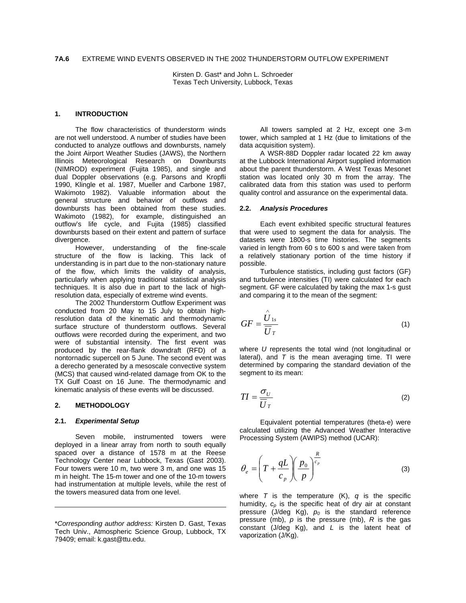Kirsten D. Gast\* and John L. Schroeder Texas Tech University, Lubbock, Texas

# **1. INTRODUCTION**

The flow characteristics of thunderstorm winds are not well understood. A number of studies have been conducted to analyze outflows and downbursts, namely the Joint Airport Weather Studies (JAWS), the Northern Illinois Meteorological Research on Downbursts (NIMROD) experiment (Fujita 1985), and single and dual Doppler observations (e.g. Parsons and Kropfli 1990, Klingle et al. 1987, Mueller and Carbone 1987, Wakimoto 1982). Valuable information about the general structure and behavior of outflows and downbursts has been obtained from these studies. Wakimoto (1982), for example, distinguished an outflow's life cycle, and Fujita (1985) classified downbursts based on their extent and pattern of surface divergence.

However, understanding of the fine-scale structure of the flow is lacking. This lack of understanding is in part due to the non-stationary nature of the flow, which limits the validity of analysis, particularly when applying traditional statistical analysis techniques. It is also due in part to the lack of highresolution data, especially of extreme wind events.

The 2002 Thunderstorm Outflow Experiment was conducted from 20 May to 15 July to obtain highresolution data of the kinematic and thermodynamic surface structure of thunderstorm outflows. Several outflows were recorded during the experiment, and two were of substantial intensity. The first event was produced by the rear-flank downdraft (RFD) of a nontornadic supercell on 5 June. The second event was a derecho generated by a mesoscale convective system (MCS) that caused wind-related damage from OK to the TX Gulf Coast on 16 June. The thermodynamic and kinematic analysis of these events will be discussed.

#### **2. METHODOLOGY**

#### **2.1.** *Experimental Setup*

Seven mobile, instrumented towers were deployed in a linear array from north to south equally spaced over a distance of 1578 m at the Reese Technology Center near Lubbock, Texas (Gast 2003). Four towers were 10 m, two were 3 m, and one was 15 m in height. The 15-m tower and one of the 10-m towers had instrumentation at multiple levels, while the rest of the towers measured data from one level.

All towers sampled at 2 Hz, except one 3-m tower, which sampled at 1 Hz (due to limitations of the data acquisition system).

A WSR-88D Doppler radar located 22 km away at the Lubbock International Airport supplied information about the parent thunderstorm. A West Texas Mesonet station was located only 30 m from the array. The calibrated data from this station was used to perform quality control and assurance on the experimental data.

### **2.2.** *Analysis Procedures*

Each event exhibited specific structural features that were used to segment the data for analysis. The datasets were 1800-s time histories. The segments varied in length from 60 s to 600 s and were taken from a relatively stationary portion of the time history if possible.

Turbulence statistics, including gust factors (GF) and turbulence intensities (TI) were calculated for each segment. GF were calculated by taking the max 1-s gust and comparing it to the mean of the segment:

$$
GF = \frac{\hat{U}_{1s}}{\overline{U}_{T}}
$$
 (1)

where *U* represents the total wind (not longitudinal or lateral), and  $T$  is the mean averaging time. The were determined by comparing the standard deviation of the segment to its mean:

$$
TI = \frac{\sigma_U}{\overline{U}_T} \tag{2}
$$

Equivalent potential temperatures (theta-e) were calculated utilizing the Advanced Weather Interactive Processing System (AWIPS) method (UCAR):

$$
\theta_e = \left(T + \frac{qL}{c_p}\right)\left(\frac{p_0}{p}\right)^{\frac{R}{c_p}}
$$
\n(3)

where  $T$  is the temperature  $(K)$ ,  $q$  is the specific humidity,  $c_p$  is the specific heat of dry air at constant pressure  $(J/deg Kg)$ ,  $p_0$  is the standard reference pressure (mb), *p* is the pressure (mb), *R* is the gas constant (J/deg Kg), and *L* is the latent heat of vaporization (J/Kg).

<sup>\*</sup>*Corresponding author address:* Kirsten D. Gast, Texas Tech Univ., Atmospheric Science Group, Lubbock, TX 79409; email: k.gast@ttu.edu.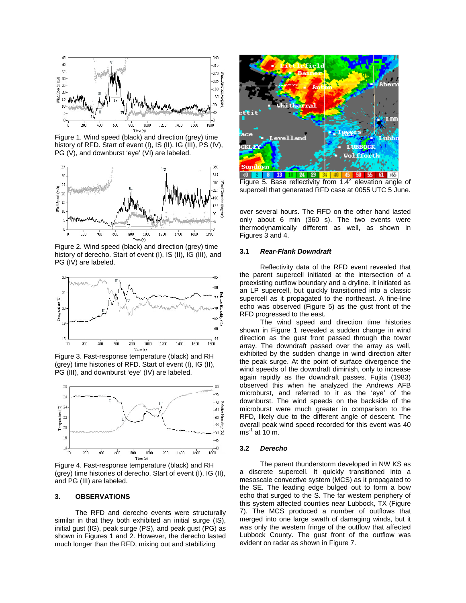

Figure 1. Wind speed (black) and direction (grey) time history of RFD. Start of event (I), IS (II), IG (III), PS (IV), PG (V), and downburst 'eye' (VI) are labeled.



Figure 2. Wind speed (black) and direction (grey) time history of derecho. Start of event (I), IS (II), IG (III), and PG (IV) are labeled.



Figure 3. Fast-response temperature (black) and RH (grey) time histories of RFD. Start of event (I), IG (II), PG (III), and downburst 'eye' (IV) are labeled.



Figure 4. Fast-response temperature (black) and RH (grey) time histories of derecho. Start of event (I), IG (II), and PG (III) are labeled.

### **3. OBSERVATIONS**

The RFD and derecho events were structurally similar in that they both exhibited an initial surge (IS), initial gust (IG), peak surge (PS), and peak gust (PG) as shown in Figures 1 and 2. However, the derecho lasted much longer than the RFD, mixing out and stabilizing



Figure 5. Base reflectivity from 1.4° elevation angle of supercell that generated RFD case at 0055 UTC 5 June.

over several hours. The RFD on the other hand lasted only about 6 min (360 s). The two events were thermodynamically different as well, as shown in Figures 3 and 4.

### **3.1** *Rear-Flank Downdraft*

Reflectivity data of the RFD event revealed that the parent supercell initiated at the intersection of a preexisting outflow boundary and a dryline. It initiated as an LP supercell, but quickly transitioned into a classic supercell as it propagated to the northeast. A fine-line echo was observed (Figure 5) as the gust front of the RFD progressed to the east.

The wind speed and direction time histories shown in Figure 1 revealed a sudden change in wind direction as the gust front passed through the tower array. The downdraft passed over the array as well, exhibited by the sudden change in wind direction after the peak surge. At the point of surface divergence the wind speeds of the downdraft diminish, only to increase again rapidly as the downdraft passes. Fujita (1983) observed this when he analyzed the Andrews AFB microburst, and referred to it as the 'eye' of the downburst. The wind speeds on the backside of the microburst were much greater in comparison to the RFD, likely due to the different angle of descent. The overall peak wind speed recorded for this event was 40  $ms^{-1}$  at 10 m.

## **3.2** *Derecho*

The parent thunderstorm developed in NW KS as a discrete supercell. It quickly transitioned into a mesoscale convective system (MCS) as it propagated to the SE. The leading edge bulged out to form a bow echo that surged to the S. The far western periphery of this system affected counties near Lubbock, TX (Figure 7). The MCS produced a number of outflows that merged into one large swath of damaging winds, but it was only the western fringe of the outflow that affected Lubbock County. The gust front of the outflow was evident on radar as shown in Figure 7.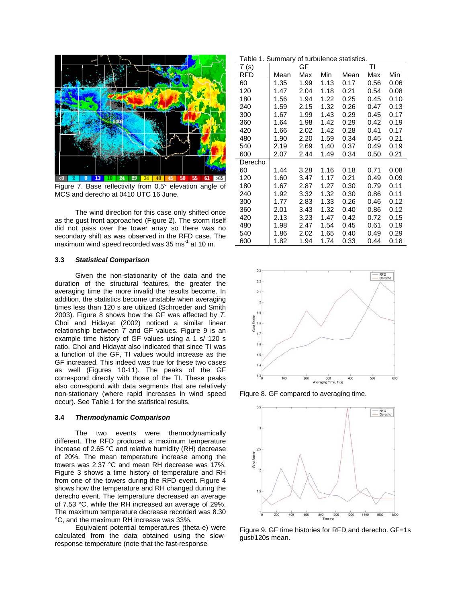

Figure 7. Base reflectivity from 0.5° elevation angle of MCS and derecho at 0410 UTC 16 June.

The wind direction for this case only shifted once as the gust front approached (Figure 2). The storm itself did not pass over the tower array so there was no secondary shift as was observed in the RFD case. The maximum wind speed recorded was 35 ms<sup>-1</sup> at 10 m.

# **3.3** *Statistical Comparison*

Given the non-stationarity of the data and the duration of the structural features, the greater the averaging time the more invalid the results become. In addition, the statistics become unstable when averaging times less than 120 s are utilized (Schroeder and Smith 2003). Figure 8 shows how the GF was affected by *T*. Choi and Hidayat (2002) noticed a similar linear relationship between *T* and GF values. Figure 9 is an example time history of GF values using a 1 s/ 120 s ratio. Choi and Hidayat also indicated that since TI was a function of the GF, TI values would increase as the GF increased. This indeed was true for these two cases as well (Figures 10-11). The peaks of the GF correspond directly with those of the TI. These peaks also correspond with data segments that are relatively non-stationary (where rapid increases in wind speed occur). See Table 1 for the statistical results.

#### **3.4** *Thermodynamic Comparison*

The two events were thermodynamically different. The RFD produced a maximum temperature increase of 2.65 °C and relative humidity (RH) decrease of 20%. The mean temperature increase among the towers was 2.37 °C and mean RH decrease was 17%. Figure 3 shows a time history of temperature and RH from one of the towers during the RFD event. Figure 4 shows how the temperature and RH changed during the derecho event. The temperature decreased an average of 7.53 °C, while the RH increased an average of 29%. The maximum temperature decrease recorded was 8.30 °C, and the maximum RH increase was 33%.

Equivalent potential temperatures (theta-e) were calculated from the data obtained using the slowresponse temperature (note that the fast-response

Table 1. Summary of turbulence statistics.

| T(s)    |      | GF   |      |      | TI   |      |
|---------|------|------|------|------|------|------|
| RFD     | Mean | Max  | Min  | Mean | Max  | Min  |
| 60      | 1.35 | 1.99 | 1.13 | 0.17 | 0.56 | 0.06 |
| 120     | 1.47 | 2.04 | 1.18 | 0.21 | 0.54 | 0.08 |
| 180     | 1.56 | 1.94 | 1.22 | 0.25 | 0.45 | 0.10 |
| 240     | 1.59 | 2.15 | 1.32 | 0.26 | 0.47 | 0.13 |
| 300     | 1.67 | 1.99 | 1.43 | 0.29 | 0.45 | 0.17 |
| 360     | 1.64 | 1.98 | 1.42 | 0.29 | 0.42 | 0.19 |
| 420     | 1.66 | 2.02 | 1.42 | 0.28 | 0.41 | 0.17 |
| 480     | 1.90 | 2.20 | 1.59 | 0.34 | 0.45 | 0.21 |
| 540     | 2.19 | 2.69 | 1.40 | 0.37 | 0.49 | 0.19 |
| 600     | 2.07 | 2.44 | 1.49 | 0.34 | 0.50 | 0.21 |
| Derecho |      |      |      |      |      |      |
| 60      | 1.44 | 3.28 | 1.16 | 0.18 | 0.71 | 0.08 |
| 120     | 1.60 | 3.47 | 1.17 | 0.21 | 0.49 | 0.09 |
| 180     | 1.67 | 2.87 | 1.27 | 0.30 | 0.79 | 0.11 |
| 240     | 1.92 | 3.32 | 1.32 | 0.30 | 0.86 | 0.11 |
| 300     | 1.77 | 2.83 | 1.33 | 0.26 | 0.46 | 0.12 |
| 360     | 2.01 | 3.43 | 1.32 | 0.40 | 0.86 | 0.12 |
| 420     | 2.13 | 3.23 | 1.47 | 0.42 | 0.72 | 0.15 |
| 480     | 1.98 | 2.47 | 1.54 | 0.45 | 0.61 | 0.19 |
| 540     | 1.86 | 2.02 | 1.65 | 0.40 | 0.49 | 0.29 |
| 600     | 1.82 | 1.94 | 1.74 | 0.33 | 0.44 | 0.18 |



Figure 8. GF compared to averaging time.



Figure 9. GF time histories for RFD and derecho. GF=1s gust/120s mean.